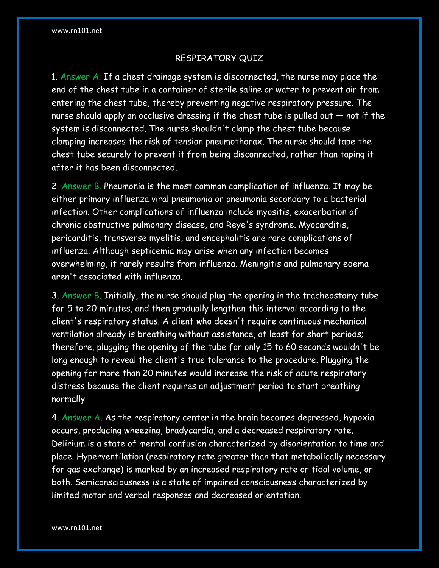# RESPIRATORY QUIZ

1. Answer A. If a chest drainage system is disconnected, the nurse may place the end of the chest tube in a container of sterile saline or water to prevent air from entering the chest tube, thereby preventing negative respiratory pressure. The nurse should apply an occlusive dressing if the chest tube is pulled out — not if the system is disconnected. The nurse shouldn't clamp the chest tube because clamping increases the risk of tension pneumothorax. The nurse should tape the chest tube securely to prevent it from being disconnected, rather than taping it after it has been disconnected.

2. Answer B. Pneumonia is the most common complication of influenza. It may be either primary influenza viral pneumonia or pneumonia secondary to a bacterial infection. Other complications of influenza include myositis, exacerbation of chronic obstructive pulmonary disease, and Reye's syndrome. Myocarditis, pericarditis, transverse myelitis, and encephalitis are rare complications of influenza. Although septicemia may arise when any infection becomes overwhelming, it rarely results from influenza. Meningitis and pulmonary edema aren't associated with influenza.

3. Answer B. Initially, the nurse should plug the opening in the tracheostomy tube for 5 to 20 minutes, and then gradually lengthen this interval according to the client's respiratory status. A client who doesn't require continuous mechanical ventilation already is breathing without assistance, at least for short periods; therefore, plugging the opening of the tube for only 15 to 60 seconds wouldn't be long enough to reveal the client's true tolerance to the procedure. Plugging the opening for more than 20 minutes would increase the risk of acute respiratory distress because the client requires an adjustment period to start breathing normally

4. Answer A. As the respiratory center in the brain becomes depressed, hypoxia occurs, producing wheezing, bradycardia, and a decreased respiratory rate. Delirium is a state of mental confusion characterized by disorientation to time and place. Hyperventilation (respiratory rate greater than that metabolically necessary for gas exchange) is marked by an increased respiratory rate or tidal volume, or both. Semiconsciousness is a state of impaired consciousness characterized by limited motor and verbal responses and decreased orientation.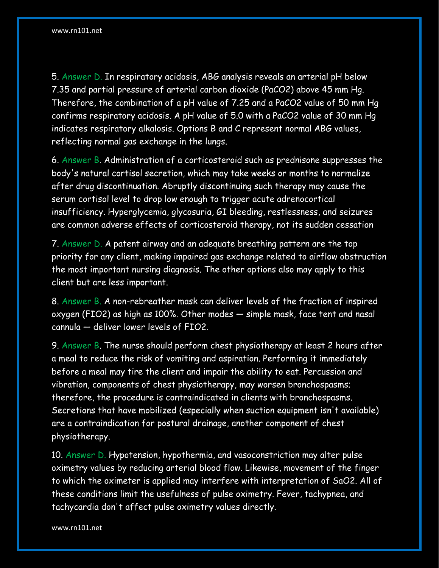5. Answer D. In respiratory acidosis, ABG analysis reveals an arterial pH below 7.35 and partial pressure of arterial carbon dioxide (PaCO2) above 45 mm Hg. Therefore, the combination of a pH value of 7.25 and a PaCO2 value of 50 mm Hg confirms respiratory acidosis. A pH value of 5.0 with a PaCO2 value of 30 mm Hg indicates respiratory alkalosis. Options B and C represent normal ABG values, reflecting normal gas exchange in the lungs.

6. Answer B. Administration of a corticosteroid such as prednisone suppresses the body's natural cortisol secretion, which may take weeks or months to normalize after drug discontinuation. Abruptly discontinuing such therapy may cause the serum cortisol level to drop low enough to trigger acute adrenocortical insufficiency. Hyperglycemia, glycosuria, GI bleeding, restlessness, and seizures are common adverse effects of corticosteroid therapy, not its sudden cessation

7. Answer D. A patent airway and an adequate breathing pattern are the top priority for any client, making impaired gas exchange related to airflow obstruction the most important nursing diagnosis. The other options also may apply to this client but are less important.

8. Answer B. A non-rebreather mask can deliver levels of the fraction of inspired oxygen (FIO2) as high as 100%. Other modes — simple mask, face tent and nasal cannula — deliver lower levels of FIO2.

9. Answer B. The nurse should perform chest physiotherapy at least 2 hours after a meal to reduce the risk of vomiting and aspiration. Performing it immediately before a meal may tire the client and impair the ability to eat. Percussion and vibration, components of chest physiotherapy, may worsen bronchospasms; therefore, the procedure is contraindicated in clients with bronchospasms. Secretions that have mobilized (especially when suction equipment isn't available) are a contraindication for postural drainage, another component of chest physiotherapy.

10. Answer D. Hypotension, hypothermia, and vasoconstriction may alter pulse oximetry values by reducing arterial blood flow. Likewise, movement of the finger to which the oximeter is applied may interfere with interpretation of SaO2. All of these conditions limit the usefulness of pulse oximetry. Fever, tachypnea, and tachycardia don't affect pulse oximetry values directly.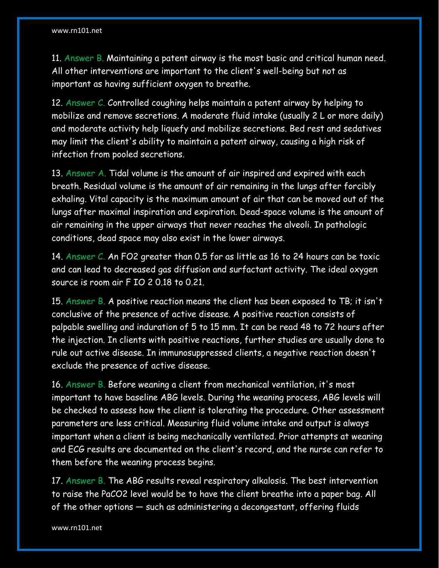11. Answer B. Maintaining a patent airway is the most basic and critical human need. All other interventions are important to the client's well-being but not as important as having sufficient oxygen to breathe.

12. Answer C. Controlled coughing helps maintain a patent airway by helping to mobilize and remove secretions. A moderate fluid intake (usually 2 L or more daily) and moderate activity help liquefy and mobilize secretions. Bed rest and sedatives may limit the client's ability to maintain a patent airway, causing a high risk of infection from pooled secretions.

13. Answer A. Tidal volume is the amount of air inspired and expired with each breath. Residual volume is the amount of air remaining in the lungs after forcibly exhaling. Vital capacity is the maximum amount of air that can be moved out of the lungs after maximal inspiration and expiration. Dead-space volume is the amount of air remaining in the upper airways that never reaches the alveoli. In pathologic conditions, dead space may also exist in the lower airways.

14. Answer C. An FO2 greater than 0.5 for as little as 16 to 24 hours can be toxic and can lead to decreased gas diffusion and surfactant activity. The ideal oxygen source is room air F IO 2 0.18 to 0.21.

15. Answer B. A positive reaction means the client has been exposed to TB; it isn't conclusive of the presence of active disease. A positive reaction consists of palpable swelling and induration of 5 to 15 mm. It can be read 48 to 72 hours after the injection. In clients with positive reactions, further studies are usually done to rule out active disease. In immunosuppressed clients, a negative reaction doesn't exclude the presence of active disease.

16. Answer B. Before weaning a client from mechanical ventilation, it's most important to have baseline ABG levels. During the weaning process, ABG levels will be checked to assess how the client is tolerating the procedure. Other assessment parameters are less critical. Measuring fluid volume intake and output is always important when a client is being mechanically ventilated. Prior attempts at weaning and ECG results are documented on the client's record, and the nurse can refer to them before the weaning process begins.

17. Answer B. The ABG results reveal respiratory alkalosis. The best intervention to raise the PaCO2 level would be to have the client breathe into a paper bag. All of the other options — such as administering a decongestant, offering fluids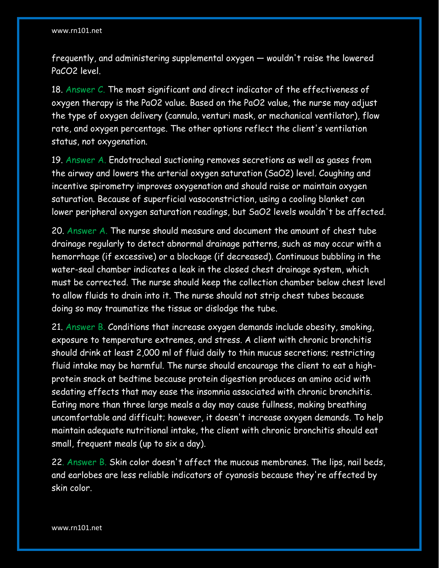frequently, and administering supplemental oxygen — wouldn't raise the lowered PaCO2 level.

18. Answer C. The most significant and direct indicator of the effectiveness of oxygen therapy is the PaO2 value. Based on the PaO2 value, the nurse may adjust the type of oxygen delivery (cannula, venturi mask, or mechanical ventilator), flow rate, and oxygen percentage. The other options reflect the client's ventilation status, not oxygenation.

19. Answer A. Endotracheal suctioning removes secretions as well as gases from the airway and lowers the arterial oxygen saturation (SaO2) level. Coughing and incentive spirometry improves oxygenation and should raise or maintain oxygen saturation. Because of superficial vasoconstriction, using a cooling blanket can lower peripheral oxygen saturation readings, but SaO2 levels wouldn't be affected.

20. Answer A. The nurse should measure and document the amount of chest tube drainage regularly to detect abnormal drainage patterns, such as may occur with a hemorrhage (if excessive) or a blockage (if decreased). Continuous bubbling in the water-seal chamber indicates a leak in the closed chest drainage system, which must be corrected. The nurse should keep the collection chamber below chest level to allow fluids to drain into it. The nurse should not strip chest tubes because doing so may traumatize the tissue or dislodge the tube.

21. Answer B. Conditions that increase oxygen demands include obesity, smoking, exposure to temperature extremes, and stress. A client with chronic bronchitis should drink at least 2,000 ml of fluid daily to thin mucus secretions; restricting fluid intake may be harmful. The nurse should encourage the client to eat a highprotein snack at bedtime because protein digestion produces an amino acid with sedating effects that may ease the insomnia associated with chronic bronchitis. Eating more than three large meals a day may cause fullness, making breathing uncomfortable and difficult; however, it doesn't increase oxygen demands. To help maintain adequate nutritional intake, the client with chronic bronchitis should eat small, frequent meals (up to six a day).

22. Answer B. Skin color doesn't affect the mucous membranes. The lips, nail beds, and earlobes are less reliable indicators of cyanosis because they're affected by skin color.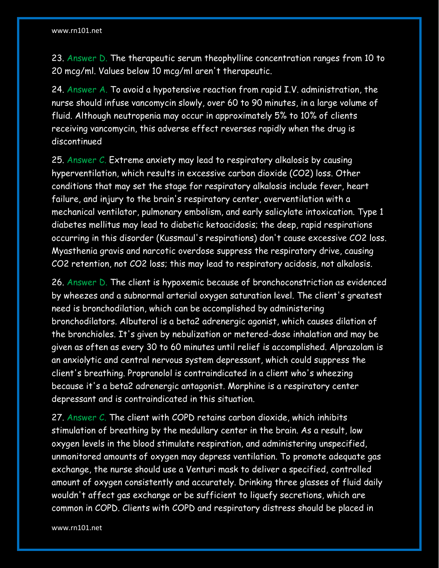23. Answer D. The therapeutic serum theophylline concentration ranges from 10 to 20 mcg/ml. Values below 10 mcg/ml aren't therapeutic.

24. Answer A. To avoid a hypotensive reaction from rapid I.V. administration, the nurse should infuse vancomycin slowly, over 60 to 90 minutes, in a large volume of fluid. Although neutropenia may occur in approximately 5% to 10% of clients receiving vancomycin, this adverse effect reverses rapidly when the drug is discontinued

25. Answer C. Extreme anxiety may lead to respiratory alkalosis by causing hyperventilation, which results in excessive carbon dioxide (CO2) loss. Other conditions that may set the stage for respiratory alkalosis include fever, heart failure, and injury to the brain's respiratory center, overventilation with a mechanical ventilator, pulmonary embolism, and early salicylate intoxication. Type 1 diabetes mellitus may lead to diabetic ketoacidosis; the deep, rapid respirations occurring in this disorder (Kussmaul's respirations) don't cause excessive CO2 loss. Myasthenia gravis and narcotic overdose suppress the respiratory drive, causing CO2 retention, not CO2 loss; this may lead to respiratory acidosis, not alkalosis.

26. Answer D. The client is hypoxemic because of bronchoconstriction as evidenced by wheezes and a subnormal arterial oxygen saturation level. The client's greatest need is bronchodilation, which can be accomplished by administering bronchodilators. Albuterol is a beta2 adrenergic agonist, which causes dilation of the bronchioles. It's given by nebulization or metered-dose inhalation and may be given as often as every 30 to 60 minutes until relief is accomplished. Alprazolam is an anxiolytic and central nervous system depressant, which could suppress the client's breathing. Propranolol is contraindicated in a client who's wheezing because it's a beta2 adrenergic antagonist. Morphine is a respiratory center depressant and is contraindicated in this situation.

27. Answer C. The client with COPD retains carbon dioxide, which inhibits stimulation of breathing by the medullary center in the brain. As a result, low oxygen levels in the blood stimulate respiration, and administering unspecified, unmonitored amounts of oxygen may depress ventilation. To promote adequate gas exchange, the nurse should use a Venturi mask to deliver a specified, controlled amount of oxygen consistently and accurately. Drinking three glasses of fluid daily wouldn't affect gas exchange or be sufficient to liquefy secretions, which are common in COPD. Clients with COPD and respiratory distress should be placed in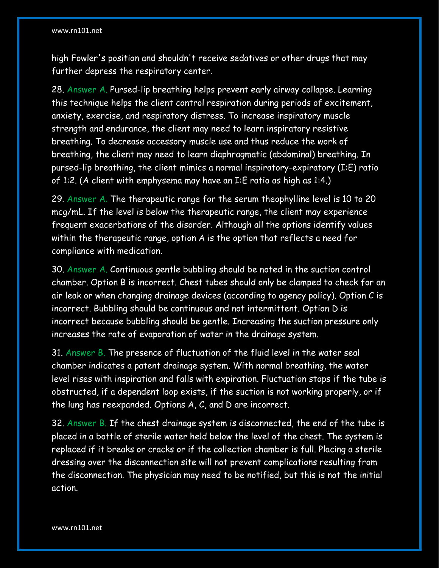high Fowler's position and shouldn't receive sedatives or other drugs that may further depress the respiratory center.

28. Answer A. Pursed-lip breathing helps prevent early airway collapse. Learning this technique helps the client control respiration during periods of excitement, anxiety, exercise, and respiratory distress. To increase inspiratory muscle strength and endurance, the client may need to learn inspiratory resistive breathing. To decrease accessory muscle use and thus reduce the work of breathing, the client may need to learn diaphragmatic (abdominal) breathing. In pursed-lip breathing, the client mimics a normal inspiratory-expiratory (I:E) ratio of 1:2. (A client with emphysema may have an I:E ratio as high as 1:4.)

29. Answer A. The therapeutic range for the serum theophylline level is 10 to 20 mcg/mL. If the level is below the therapeutic range, the client may experience frequent exacerbations of the disorder. Although all the options identify values within the therapeutic range, option A is the option that reflects a need for compliance with medication.

30. Answer A. Continuous gentle bubbling should be noted in the suction control chamber. Option B is incorrect. Chest tubes should only be clamped to check for an air leak or when changing drainage devices (according to agency policy). Option C is incorrect. Bubbling should be continuous and not intermittent. Option D is incorrect because bubbling should be gentle. Increasing the suction pressure only increases the rate of evaporation of water in the drainage system.

31. Answer B. The presence of fluctuation of the fluid level in the water seal chamber indicates a patent drainage system. With normal breathing, the water level rises with inspiration and falls with expiration. Fluctuation stops if the tube is obstructed, if a dependent loop exists, if the suction is not working properly, or if the lung has reexpanded. Options A, C, and D are incorrect.

32. Answer B. If the chest drainage system is disconnected, the end of the tube is placed in a bottle of sterile water held below the level of the chest. The system is replaced if it breaks or cracks or if the collection chamber is full. Placing a sterile dressing over the disconnection site will not prevent complications resulting from the disconnection. The physician may need to be notified, but this is not the initial action.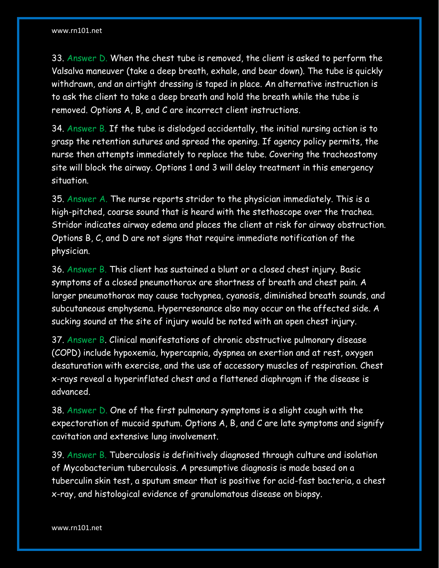33. Answer D. When the chest tube is removed, the client is asked to perform the Valsalva maneuver (take a deep breath, exhale, and bear down). The tube is quickly withdrawn, and an airtight dressing is taped in place. An alternative instruction is to ask the client to take a deep breath and hold the breath while the tube is removed. Options A, B, and C are incorrect client instructions.

34. Answer B. If the tube is dislodged accidentally, the initial nursing action is to grasp the retention sutures and spread the opening. If agency policy permits, the nurse then attempts immediately to replace the tube. Covering the tracheostomy site will block the airway. Options 1 and 3 will delay treatment in this emergency situation.

35. Answer A. The nurse reports stridor to the physician immediately. This is a high-pitched, coarse sound that is heard with the stethoscope over the trachea. Stridor indicates airway edema and places the client at risk for airway obstruction. Options B, C, and D are not signs that require immediate notification of the physician.

36. Answer B. This client has sustained a blunt or a closed chest injury. Basic symptoms of a closed pneumothorax are shortness of breath and chest pain. A larger pneumothorax may cause tachypnea, cyanosis, diminished breath sounds, and subcutaneous emphysema. Hyperresonance also may occur on the affected side. A sucking sound at the site of injury would be noted with an open chest injury.

37. Answer B. Clinical manifestations of chronic obstructive pulmonary disease (COPD) include hypoxemia, hypercapnia, dyspnea on exertion and at rest, oxygen desaturation with exercise, and the use of accessory muscles of respiration. Chest x-rays reveal a hyperinflated chest and a flattened diaphragm if the disease is advanced.

38. Answer D. One of the first pulmonary symptoms is a slight cough with the expectoration of mucoid sputum. Options A, B, and C are late symptoms and signify cavitation and extensive lung involvement.

39. Answer B. Tuberculosis is definitively diagnosed through culture and isolation of Mycobacterium tuberculosis. A presumptive diagnosis is made based on a tuberculin skin test, a sputum smear that is positive for acid-fast bacteria, a chest x-ray, and histological evidence of granulomatous disease on biopsy.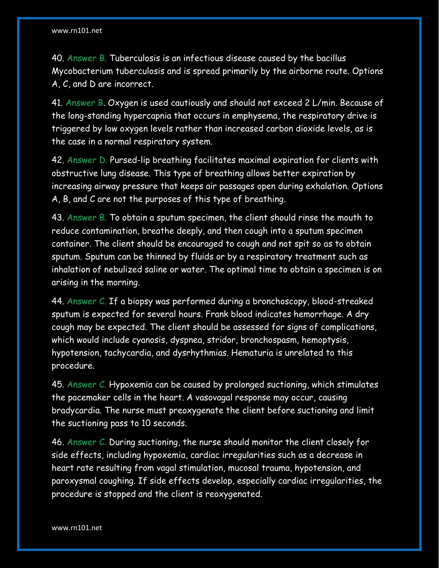40. Answer B. Tuberculosis is an infectious disease caused by the bacillus Mycobacterium tuberculosis and is spread primarily by the airborne route. Options A, C, and D are incorrect.

41. Answer B. Oxygen is used cautiously and should not exceed 2 L/min. Because of the long-standing hypercapnia that occurs in emphysema, the respiratory drive is triggered by low oxygen levels rather than increased carbon dioxide levels, as is the case in a normal respiratory system.

42. Answer D. Pursed-lip breathing facilitates maximal expiration for clients with obstructive lung disease. This type of breathing allows better expiration by increasing airway pressure that keeps air passages open during exhalation. Options A, B, and C are not the purposes of this type of breathing.

43. Answer B. To obtain a sputum specimen, the client should rinse the mouth to reduce contamination, breathe deeply, and then cough into a sputum specimen container. The client should be encouraged to cough and not spit so as to obtain sputum. Sputum can be thinned by fluids or by a respiratory treatment such as inhalation of nebulized saline or water. The optimal time to obtain a specimen is on arising in the morning.

44. Answer C. If a biopsy was performed during a bronchoscopy, blood-streaked sputum is expected for several hours. Frank blood indicates hemorrhage. A dry cough may be expected. The client should be assessed for signs of complications, which would include cyanosis, dyspnea, stridor, bronchospasm, hemoptysis, hypotension, tachycardia, and dysrhythmias. Hematuria is unrelated to this procedure.

45. Answer C. Hypoxemia can be caused by prolonged suctioning, which stimulates the pacemaker cells in the heart. A vasovagal response may occur, causing bradycardia. The nurse must preoxygenate the client before suctioning and limit the suctioning pass to 10 seconds.

46. Answer C. During suctioning, the nurse should monitor the client closely for side effects, including hypoxemia, cardiac irregularities such as a decrease in heart rate resulting from vagal stimulation, mucosal trauma, hypotension, and paroxysmal coughing. If side effects develop, especially cardiac irregularities, the procedure is stopped and the client is reoxygenated.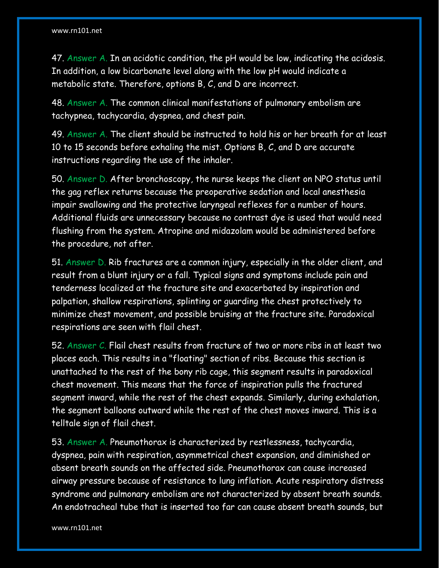47. Answer A. In an acidotic condition, the pH would be low, indicating the acidosis. In addition, a low bicarbonate level along with the low pH would indicate a metabolic state. Therefore, options B, C, and D are incorrect.

48. Answer A. The common clinical manifestations of pulmonary embolism are tachypnea, tachycardia, dyspnea, and chest pain.

49. Answer A. The client should be instructed to hold his or her breath for at least 10 to 15 seconds before exhaling the mist. Options B, C, and D are accurate instructions regarding the use of the inhaler.

50. Answer D. After bronchoscopy, the nurse keeps the client on NPO status until the gag reflex returns because the preoperative sedation and local anesthesia impair swallowing and the protective laryngeal reflexes for a number of hours. Additional fluids are unnecessary because no contrast dye is used that would need flushing from the system. Atropine and midazolam would be administered before the procedure, not after.

51. Answer D. Rib fractures are a common injury, especially in the older client, and result from a blunt injury or a fall. Typical signs and symptoms include pain and tenderness localized at the fracture site and exacerbated by inspiration and palpation, shallow respirations, splinting or guarding the chest protectively to minimize chest movement, and possible bruising at the fracture site. Paradoxical respirations are seen with flail chest.

52. Answer C. Flail chest results from fracture of two or more ribs in at least two places each. This results in a "floating" section of ribs. Because this section is unattached to the rest of the bony rib cage, this segment results in paradoxical chest movement. This means that the force of inspiration pulls the fractured segment inward, while the rest of the chest expands. Similarly, during exhalation, the segment balloons outward while the rest of the chest moves inward. This is a telltale sign of flail chest.

53. Answer A. Pneumothorax is characterized by restlessness, tachycardia, dyspnea, pain with respiration, asymmetrical chest expansion, and diminished or absent breath sounds on the affected side. Pneumothorax can cause increased airway pressure because of resistance to lung inflation. Acute respiratory distress syndrome and pulmonary embolism are not characterized by absent breath sounds. An endotracheal tube that is inserted too far can cause absent breath sounds, but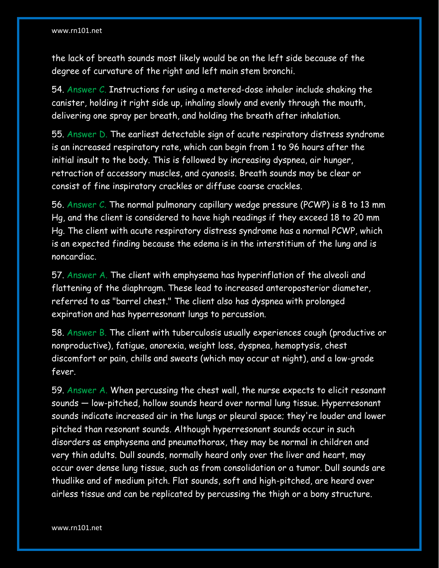the lack of breath sounds most likely would be on the left side because of the degree of curvature of the right and left main stem bronchi.

54. Answer C. Instructions for using a metered-dose inhaler include shaking the canister, holding it right side up, inhaling slowly and evenly through the mouth, delivering one spray per breath, and holding the breath after inhalation.

55. Answer D. The earliest detectable sign of acute respiratory distress syndrome is an increased respiratory rate, which can begin from 1 to 96 hours after the initial insult to the body. This is followed by increasing dyspnea, air hunger, retraction of accessory muscles, and cyanosis. Breath sounds may be clear or consist of fine inspiratory crackles or diffuse coarse crackles.

56. Answer C. The normal pulmonary capillary wedge pressure (PCWP) is 8 to 13 mm Hg, and the client is considered to have high readings if they exceed 18 to 20 mm Hg. The client with acute respiratory distress syndrome has a normal PCWP, which is an expected finding because the edema is in the interstitium of the lung and is noncardiac.

57. Answer A. The client with emphysema has hyperinflation of the alveoli and flattening of the diaphragm. These lead to increased anteroposterior diameter, referred to as "barrel chest." The client also has dyspnea with prolonged expiration and has hyperresonant lungs to percussion.

58. Answer B. The client with tuberculosis usually experiences cough (productive or nonproductive), fatigue, anorexia, weight loss, dyspnea, hemoptysis, chest discomfort or pain, chills and sweats (which may occur at night), and a low-grade fever.

59. Answer A. When percussing the chest wall, the nurse expects to elicit resonant sounds — low-pitched, hollow sounds heard over normal lung tissue. Hyperresonant sounds indicate increased air in the lungs or pleural space; they're louder and lower pitched than resonant sounds. Although hyperresonant sounds occur in such disorders as emphysema and pneumothorax, they may be normal in children and very thin adults. Dull sounds, normally heard only over the liver and heart, may occur over dense lung tissue, such as from consolidation or a tumor. Dull sounds are thudlike and of medium pitch. Flat sounds, soft and high-pitched, are heard over airless tissue and can be replicated by percussing the thigh or a bony structure.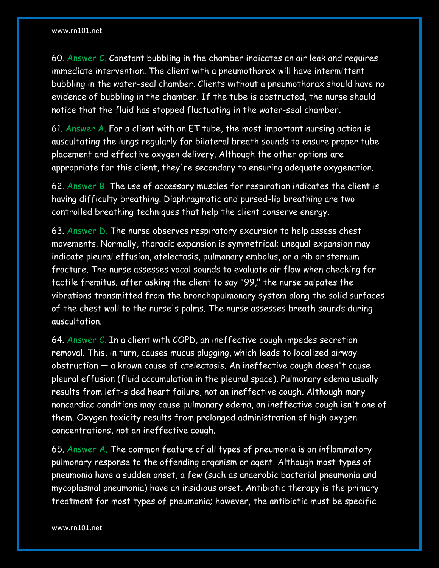60. Answer C. Constant bubbling in the chamber indicates an air leak and requires immediate intervention. The client with a pneumothorax will have intermittent bubbling in the water-seal chamber. Clients without a pneumothorax should have no evidence of bubbling in the chamber. If the tube is obstructed, the nurse should notice that the fluid has stopped fluctuating in the water-seal chamber.

61. Answer A. For a client with an ET tube, the most important nursing action is auscultating the lungs regularly for bilateral breath sounds to ensure proper tube placement and effective oxygen delivery. Although the other options are appropriate for this client, they're secondary to ensuring adequate oxygenation.

62. Answer B. The use of accessory muscles for respiration indicates the client is having difficulty breathing. Diaphragmatic and pursed-lip breathing are two controlled breathing techniques that help the client conserve energy.

63. Answer D. The nurse observes respiratory excursion to help assess chest movements. Normally, thoracic expansion is symmetrical; unequal expansion may indicate pleural effusion, atelectasis, pulmonary embolus, or a rib or sternum fracture. The nurse assesses vocal sounds to evaluate air flow when checking for tactile fremitus; after asking the client to say "99," the nurse palpates the vibrations transmitted from the bronchopulmonary system along the solid surfaces of the chest wall to the nurse's palms. The nurse assesses breath sounds during auscultation.

64. Answer C. In a client with COPD, an ineffective cough impedes secretion removal. This, in turn, causes mucus plugging, which leads to localized airway obstruction — a known cause of atelectasis. An ineffective cough doesn't cause pleural effusion (fluid accumulation in the pleural space). Pulmonary edema usually results from left-sided heart failure, not an ineffective cough. Although many noncardiac conditions may cause pulmonary edema, an ineffective cough isn't one of them. Oxygen toxicity results from prolonged administration of high oxygen concentrations, not an ineffective cough.

65. Answer A. The common feature of all types of pneumonia is an inflammatory pulmonary response to the offending organism or agent. Although most types of pneumonia have a sudden onset, a few (such as anaerobic bacterial pneumonia and mycoplasmal pneumonia) have an insidious onset. Antibiotic therapy is the primary treatment for most types of pneumonia; however, the antibiotic must be specific